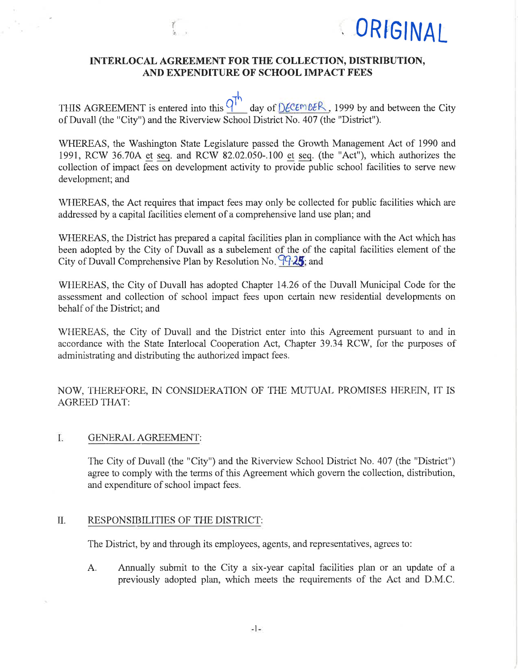

## INTËRLOCAL AGREEMENT FOR THE COLLECTION, DISTRIBUTION, AND EXPENDITURE OF SCHOOL IMPACT FEES

THIS AGREEMENT is entered into this  $\frac{q^{\dagger}}{q}$  day of  $\frac{D\epsilon}{\epsilon m \epsilon}$ , 1999 by and between the City of Duvall (the "City") and the Riverview School District No. 407 (the "District").

WHEREAS, the Washington State Legislature passed the Growth Management Act of 1990 and 1991, RCW 36.70A et seq. and RCW 82.02.050-.100 et seq. (the "Act"), which authorizes the collection of impact fees on development activity to provide public school facilities to serve new development; and

WHEREAS, the Act requires that impact fees may only be collected for public facilities which are addressed by a capital facilities element of a comprehensive land use plan; and

WHEREAS, the District has prepared a capital facilities plan in compliance with the Act which has been adopted by the City of Duvall as a subelement of the of the capital facilities element of the City of Duvall Comprehensive Plan by Resolution No.  $99-25$ ; and

WHEREAS, the City of Duvall has adopted Chapter 14.26 of the Duvall Municipal Code for the assessment and collection of school impaet fees upon certain new residential developments on behaif of the District; and

WHEREAS, the City of Duvall and the District enter into this Agreement pursuant to and in accordance with the State Interlocal Cooperation Act, Chapter 39.34 RCW, for the purposes of administrating and distributing the authorized impact fees.

NOW, THEREFORE, IN CONSIDERATION OF THE MUTUAL PROMISES HEREIN, IT IS AGREED THAT:

### L. GENERAL AGREEMENT:

'fhe City of Duvall (the "City") and the Riverview School District No. 407 (the "District") agree to comply with the terms of this Agreement which govem the collection, distribution, and expenditure of school impact fees.

#### RESPONSIBILITIES OF THE DISTRICT: il.

The District, by and through its employees, agents, and representatives, agrees to:

A. Annually submit to the City a six-year capital facilities plan or an update of <sup>a</sup> previously adopted plan, which meets the requirements of the Act and D.M.C.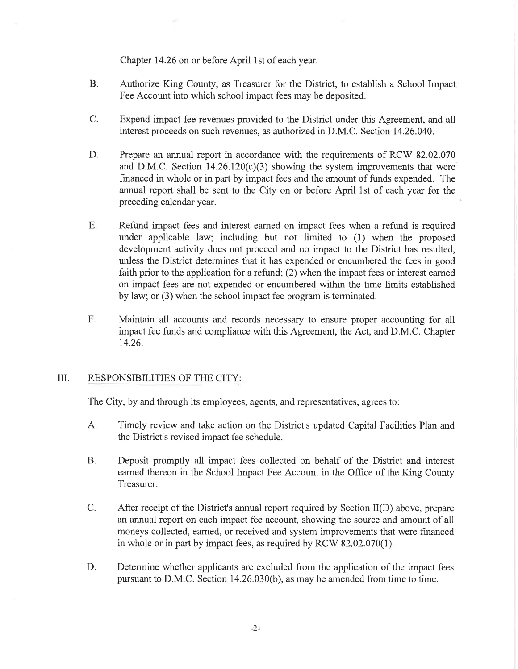Chapter 14.26 on or before April lst of each year.

- Authorize King County, as Treasurer for the District, to establish a School Impact Fee Account into which school impact fees may be deposited. B.
- C. Expend impact fee revenues provided to the District under this Agreement, and all interest proceeds on such revenues, as authorized in D.M.C. Section 14.26.040.
- Prepare an annual report in accordance with the requirements of RCW 82.02.070 and D.M.C. Section  $14.26.120(c)(3)$  showing the system improvements that were financed in whole or in part by impact fees and the amount of funds expended. The annual report shall be sent to the City on or before April 1st of each year for the preceding calendar year. D.
- Refund impact fees and interest earned on impact fees when a refund is required under applicable law; including but not limited to (1) when the proposed development activity does not proceed and no impact to the District has resulted, unless the District determines that it has expended or encumbered the fees in good faith prior to the application for a refund; (2) when the impact fees or interest eamed on impact fees are not expended or encumbered within the time limits established by law; or (3) when the school impact fee program is terminated. E.
- Maintain all accounts and records necessary to ensure proper accounting for all impact fee funds and compliance with this Agreement, the Act, and D.M.C. Chapter 14.26. F.

### III. RESPONSIBILITIES OF THE CITY:

The City, by and through its employees, agents, and representatives, agrees to:

- A. Timely review and take action on the District's updated Capital Facilities Plan and the District's revised impact fee schedule.
- B. Deposit promptly all impact fees collected on behalf of the District and interest eamed thereon in the School Impact Fee Account in the Office of the King County Treasurer.
- After receipt of the District's annual report required by Section II(D) above, prepare an annual report on each impact fee account, showing the source and amount of all moneys collected, earned, or received and system improvements that were financed in whole or in part by impact fees, as required by RCW 82.02.070(1). C.
- Determine whether applicants are excluded from the application of the impact fees pursuant to D.M.C. Section 14.26.030(b), as may be amended from time to time. D.